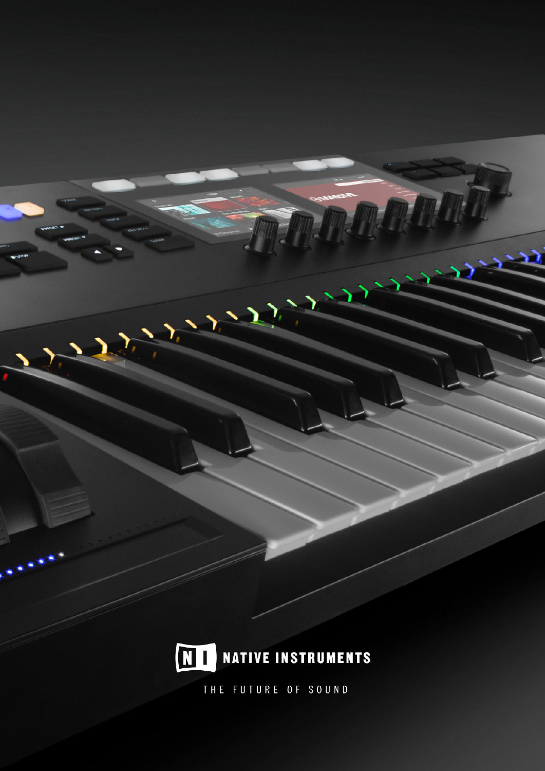

7

 $\sum$ 

7

 $\sum_{i}$ 

THE FUTURE OF SOUND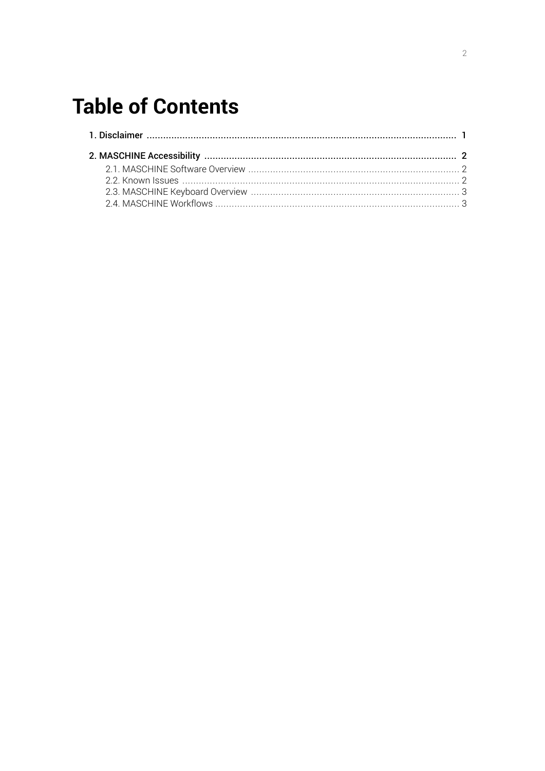# **Table of Contents**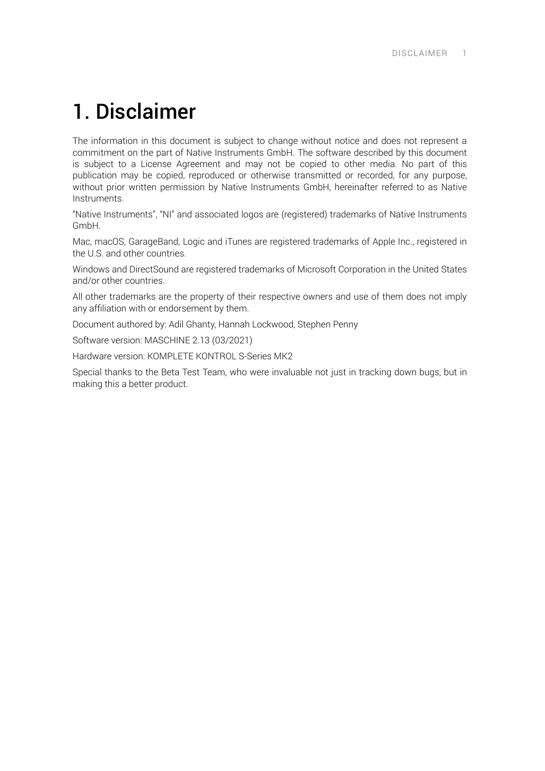## <span id="page-2-0"></span>1. Disclaimer

The information in this document is subject to change without notice and does not represent a commitment on the part of Native Instruments GmbH. The software described by this document is subject to a License Agreement and may not be copied to other media. No part of this publication may be copied, reproduced or otherwise transmitted or recorded, for any purpose, without prior written permission by Native Instruments GmbH, hereinafter referred to as Native Instruments.

"Native Instruments", "NI" and associated logos are (registered) trademarks of Native Instruments GmbH.

Mac, macOS, GarageBand, Logic and iTunes are registered trademarks of Apple Inc., registered in the U.S. and other countries.

Windows and DirectSound are registered trademarks of Microsoft Corporation in the United States and/or other countries.

All other trademarks are the property of their respective owners and use of them does not imply any affiliation with or endorsement by them.

Document authored by: Adil Ghanty, Hannah Lockwood, Stephen Penny

Software version: MASCHINE 2.13 (03/2021)

Hardware version: KOMPLETE KONTROL S-Series MK2

Special thanks to the Beta Test Team, who were invaluable not just in tracking down bugs, but in making this a better product.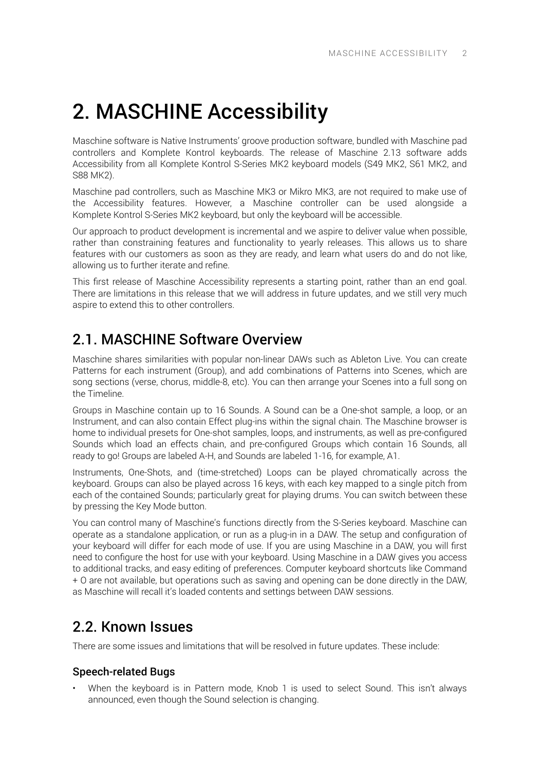# <span id="page-3-0"></span>2. MASCHINE Accessibility

Maschine software is Native Instruments' groove production software, bundled with Maschine pad controllers and Komplete Kontrol keyboards. The release of Maschine 2.13 software adds Accessibility from all Komplete Kontrol S-Series MK2 keyboard models (S49 MK2, S61 MK2, and S88 MK2).

Maschine pad controllers, such as Maschine MK3 or Mikro MK3, are not required to make use of the Accessibility features. However, a Maschine controller can be used alongside a Komplete Kontrol S-Series MK2 keyboard, but only the keyboard will be accessible.

Our approach to product development is incremental and we aspire to deliver value when possible, rather than constraining features and functionality to yearly releases. This allows us to share features with our customers as soon as they are ready, and learn what users do and do not like, allowing us to further iterate and refine.

This first release of Maschine Accessibility represents a starting point, rather than an end goal. There are limitations in this release that we will address in future updates, and we still very much aspire to extend this to other controllers.

### 2.1. MASCHINE Software Overview

Maschine shares similarities with popular non-linear DAWs such as Ableton Live. You can create Patterns for each instrument (Group), and add combinations of Patterns into Scenes, which are song sections (verse, chorus, middle-8, etc). You can then arrange your Scenes into a full song on the Timeline.

Groups in Maschine contain up to 16 Sounds. A Sound can be a One-shot sample, a loop, or an Instrument, and can also contain Effect plug-ins within the signal chain. The Maschine browser is home to individual presets for One-shot samples, loops, and instruments, as well as pre-configured Sounds which load an effects chain, and pre-configured Groups which contain 16 Sounds, all ready to go! Groups are labeled A-H, and Sounds are labeled 1-16, for example, A1.

Instruments, One-Shots, and (time-stretched) Loops can be played chromatically across the keyboard. Groups can also be played across 16 keys, with each key mapped to a single pitch from each of the contained Sounds; particularly great for playing drums. You can switch between these by pressing the Key Mode button.

You can control many of Maschine's functions directly from the S-Series keyboard. Maschine can operate as a standalone application, or run as a plug-in in a DAW. The setup and configuration of your keyboard will differ for each mode of use. If you are using Maschine in a DAW, you will first need to configure the host for use with your keyboard. Using Maschine in a DAW gives you access to additional tracks, and easy editing of preferences. Computer keyboard shortcuts like Command + O are not available, but operations such as saving and opening can be done directly in the DAW, as Maschine will recall it's loaded contents and settings between DAW sessions.

## 2.2. Known Issues

There are some issues and limitations that will be resolved in future updates. These include:

### Speech-related Bugs

• When the keyboard is in Pattern mode, Knob 1 is used to select Sound. This isn't always announced, even though the Sound selection is changing.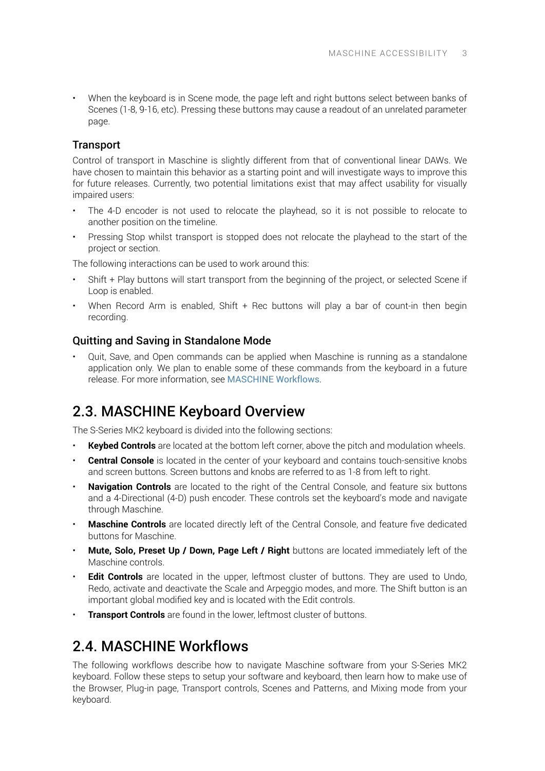<span id="page-4-0"></span>• When the keyboard is in Scene mode, the page left and right buttons select between banks of Scenes (1-8, 9-16, etc). Pressing these buttons may cause a readout of an unrelated parameter page.

### **Transport**

Control of transport in Maschine is slightly different from that of conventional linear DAWs. We have chosen to maintain this behavior as a starting point and will investigate ways to improve this for future releases. Currently, two potential limitations exist that may affect usability for visually impaired users:

- The 4-D encoder is not used to relocate the playhead, so it is not possible to relocate to another position on the timeline.
- Pressing Stop whilst transport is stopped does not relocate the playhead to the start of the project or section.

The following interactions can be used to work around this:

- Shift + Play buttons will start transport from the beginning of the project, or selected Scene if Loop is enabled.
- When Record Arm is enabled, Shift  $+$  Rec buttons will play a bar of count-in then begin recording.

#### Quitting and Saving in Standalone Mode

• Quit, Save, and Open commands can be applied when Maschine is running as a standalone application only. We plan to enable some of these commands from the keyboard in a future release. For more information, see MASCHINE Workflows.

## 2.3. MASCHINE Keyboard Overview

The S-Series MK2 keyboard is divided into the following sections:

- **Keybed Controls** are located at the bottom left corner, above the pitch and modulation wheels.
- **Central Console** is located in the center of your keyboard and contains touch-sensitive knobs and screen buttons. Screen buttons and knobs are referred to as 1-8 from left to right.
- **Navigation Controls** are located to the right of the Central Console, and feature six buttons and a 4-Directional (4-D) push encoder. These controls set the keyboard's mode and navigate through Maschine.
- **Maschine Controls** are located directly left of the Central Console, and feature ƒve dedicated buttons for Maschine.
- **Mute, Solo, Preset Up / Down, Page Left / Right** buttons are located immediately left of the Maschine controls.
- **Edit Controls** are located in the upper, leftmost cluster of buttons. They are used to Undo, Redo, activate and deactivate the Scale and Arpeggio modes, and more. The Shift button is an important global modified key and is located with the Edit controls.
- **Transport Controls** are found in the lower, leftmost cluster of buttons.

## 2.4. MASCHINE Workflows

The following workflows describe how to navigate Maschine software from your S-Series MK2 keyboard. Follow these steps to setup your software and keyboard, then learn how to make use of the Browser, Plug-in page, Transport controls, Scenes and Patterns, and Mixing mode from your keyboard.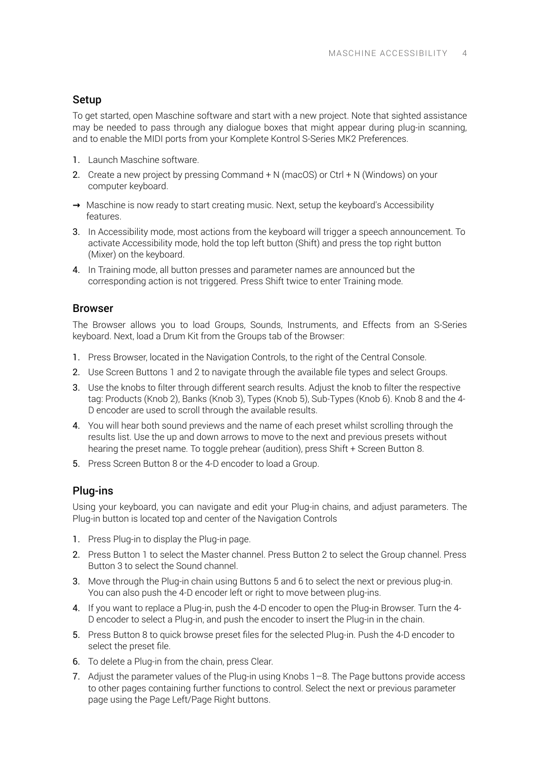### Setup

To get started, open Maschine software and start with a new project. Note that sighted assistance may be needed to pass through any dialogue boxes that might appear during plug-in scanning, and to enable the MIDI ports from your Komplete Kontrol S-Series MK2 Preferences.

- 1. Launch Maschine software.
- 2. Create a new project by pressing Command + N (macOS) or Ctrl + N (Windows) on your computer keyboard.
- **→** Maschine is now ready to start creating music. Next, setup the keyboard's Accessibility features.
- 3. In Accessibility mode, most actions from the keyboard will trigger a speech announcement. To activate Accessibility mode, hold the top left button (Shift) and press the top right button (Mixer) on the keyboard.
- 4. In Training mode, all button presses and parameter names are announced but the corresponding action is not triggered. Press Shift twice to enter Training mode.

#### Browser

The Browser allows you to load Groups, Sounds, Instruments, and Effects from an S-Series keyboard. Next, load a Drum Kit from the Groups tab of the Browser:

- 1. Press Browser, located in the Navigation Controls, to the right of the Central Console.
- 2. Use Screen Buttons 1 and 2 to navigate through the available file types and select Groups.
- 3. Use the knobs to filter through different search results. Adjust the knob to filter the respective tag: Products (Knob 2), Banks (Knob 3), Types (Knob 5), Sub-Types (Knob 6). Knob 8 and the 4- D encoder are used to scroll through the available results.
- 4. You will hear both sound previews and the name of each preset whilst scrolling through the results list. Use the up and down arrows to move to the next and previous presets without hearing the preset name. To toggle prehear (audition), press Shift + Screen Button 8.
- 5. Press Screen Button 8 or the 4-D encoder to load a Group.

### Plug-ins

Using your keyboard, you can navigate and edit your Plug-in chains, and adjust parameters. The Plug-in button is located top and center of the Navigation Controls

- 1. Press Plug-in to display the Plug-in page.
- 2. Press Button 1 to select the Master channel. Press Button 2 to select the Group channel. Press Button 3 to select the Sound channel.
- 3. Move through the Plug-in chain using Buttons 5 and 6 to select the next or previous plug-in. You can also push the 4-D encoder left or right to move between plug-ins.
- 4. If you want to replace a Plug-in, push the 4-D encoder to open the Plug-in Browser. Turn the 4- D encoder to select a Plug-in, and push the encoder to insert the Plug-in in the chain.
- 5. Press Button 8 to quick browse preset files for the selected Plug-in. Push the 4-D encoder to select the preset file.
- 6. To delete a Plug-in from the chain, press Clear.
- 7. Adjust the parameter values of the Plug-in using Knobs 1–8. The Page buttons provide access to other pages containing further functions to control. Select the next or previous parameter page using the Page Left/Page Right buttons.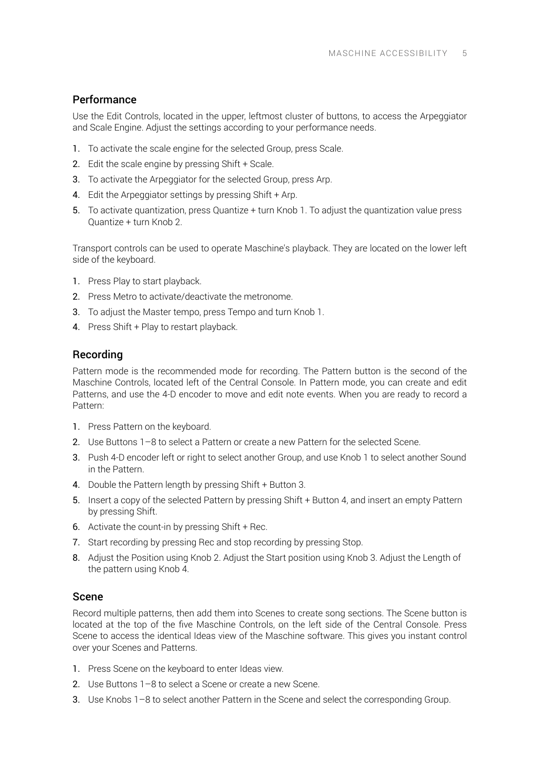### Performance

Use the Edit Controls, located in the upper, leftmost cluster of buttons, to access the Arpeggiator and Scale Engine. Adjust the settings according to your performance needs.

- 1. To activate the scale engine for the selected Group, press Scale.
- 2. Edit the scale engine by pressing Shift + Scale.
- 3. To activate the Arpeggiator for the selected Group, press Arp.
- 4. Edit the Arpeggiator settings by pressing Shift + Arp.
- 5. To activate quantization, press Quantize + turn Knob 1. To adjust the quantization value press Quantize + turn Knob 2.

Transport controls can be used to operate Maschine's playback. They are located on the lower left side of the keyboard.

- 1. Press Play to start playback.
- 2. Press Metro to activate/deactivate the metronome.
- 3. To adjust the Master tempo, press Tempo and turn Knob 1.
- 4. Press Shift + Play to restart playback.

### Recording

Pattern mode is the recommended mode for recording. The Pattern button is the second of the Maschine Controls, located left of the Central Console. In Pattern mode, you can create and edit Patterns, and use the 4-D encoder to move and edit note events. When you are ready to record a Pattern:

- 1. Press Pattern on the keyboard.
- 2. Use Buttons 1–8 to select a Pattern or create a new Pattern for the selected Scene.
- 3. Push 4-D encoder left or right to select another Group, and use Knob 1 to select another Sound in the Pattern.
- 4. Double the Pattern length by pressing Shift + Button 3.
- 5. Insert a copy of the selected Pattern by pressing Shift + Button 4, and insert an empty Pattern by pressing Shift.
- 6. Activate the count-in by pressing Shift + Rec.
- 7. Start recording by pressing Rec and stop recording by pressing Stop.
- 8. Adjust the Position using Knob 2. Adjust the Start position using Knob 3. Adjust the Length of the pattern using Knob 4.

#### Scene

Record multiple patterns, then add them into Scenes to create song sections. The Scene button is located at the top of the five Maschine Controls, on the left side of the Central Console. Press Scene to access the identical Ideas view of the Maschine software. This gives you instant control over your Scenes and Patterns.

- 1. Press Scene on the keyboard to enter Ideas view.
- 2. Use Buttons 1–8 to select a Scene or create a new Scene.
- 3. Use Knobs 1–8 to select another Pattern in the Scene and select the corresponding Group.